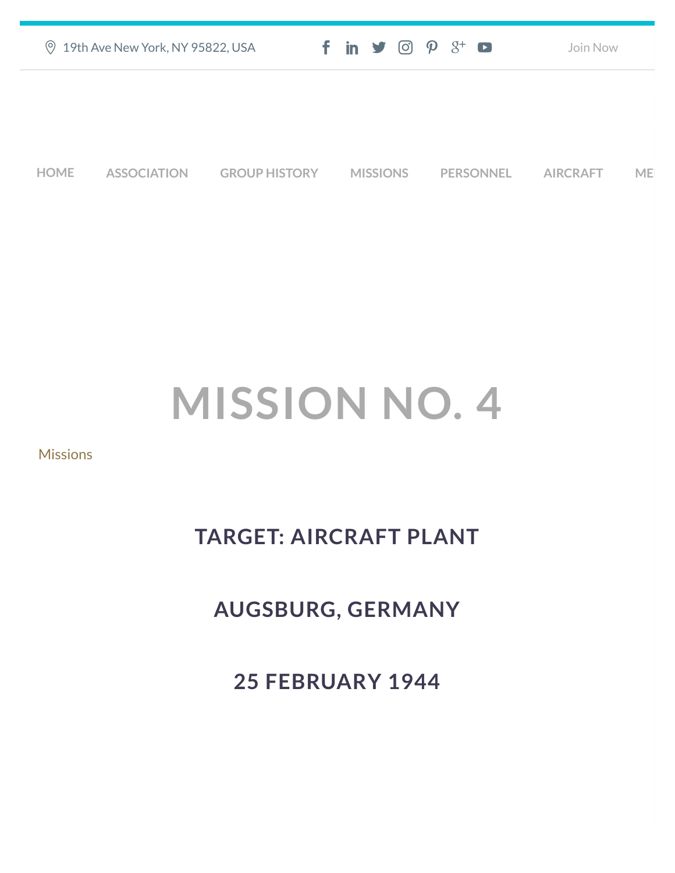| ◎ 19th Ave New York, NY 95822, USA | $f$ in $\blacktriangleright$ $\odot$ $\varphi$ $3$ <sup>+</sup> $\blacksquare$ | Join Now |
|------------------------------------|--------------------------------------------------------------------------------|----------|
|                                    |                                                                                |          |
|                                    |                                                                                |          |
|                                    |                                                                                |          |

**[HOME](https://457thbombgroupassoc.org/)** [ASSOCIATION](https://457thbombgroupassoc.org/mission-no-4/#) [GROUP HISTORY](https://457thbombgroupassoc.org/mission-no-4/#) [MISSIONS](https://457thbombgroupassoc.org/mission-no-4/#) [PERSONNEL](https://457thbombgroupassoc.org/mission-no-4/#) [AIRCRAFT](https://457thbombgroupassoc.org/mission-no-4/#) [MED](https://457thbombgroupassoc.org/mission-no-4/#)

## **MISSION NO. 4**

**[Missions](https://457thbombgroupassoc.org/category/missions/)** 

## **TARGET: AIRCRAFT PLANT**

**AUGSBURG, GERMANY**

**25 FEBRUARY 1944**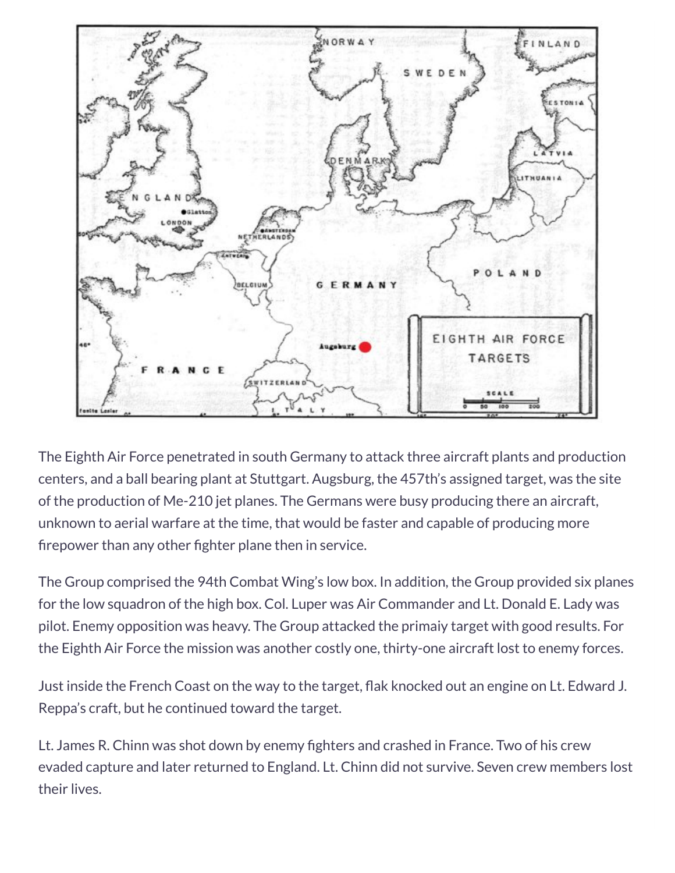

The Eighth Air Force penetrated in south Germany to attack three aircraft plants and production centers, and a ball bearing plant at Stuttgart. Augsburg, the 457th's assigned target, was the site of the production of Me-210 jet planes. The Germans were busy producing there an aircraft, unknown to aerial warfare at the time, that would be faster and capable of producing more firepower than any other fighter plane then in service.

The Group comprised the 94th Combat Wing's low box. In addition, the Group provided six planes for the low squadron of the high box. Col. Luper was Air Commander and Lt. Donald E. Lady was pilot. Enemy opposition was heavy. The Group attacked the primaiy target with good results. For the Eighth Air Force the mission was another costly one, thirty-one aircraft lost to enemy forces.

Just inside the French Coast on the way to the target, flak knocked out an engine on Lt. Edward J. Reppa's craft, but he continued toward the target.

Lt. James R. Chinn was shot down by enemy fighters and crashed in France. Two of his crew evaded capture and later returned to England. Lt. Chinn did not survive. Seven crew members lost their lives.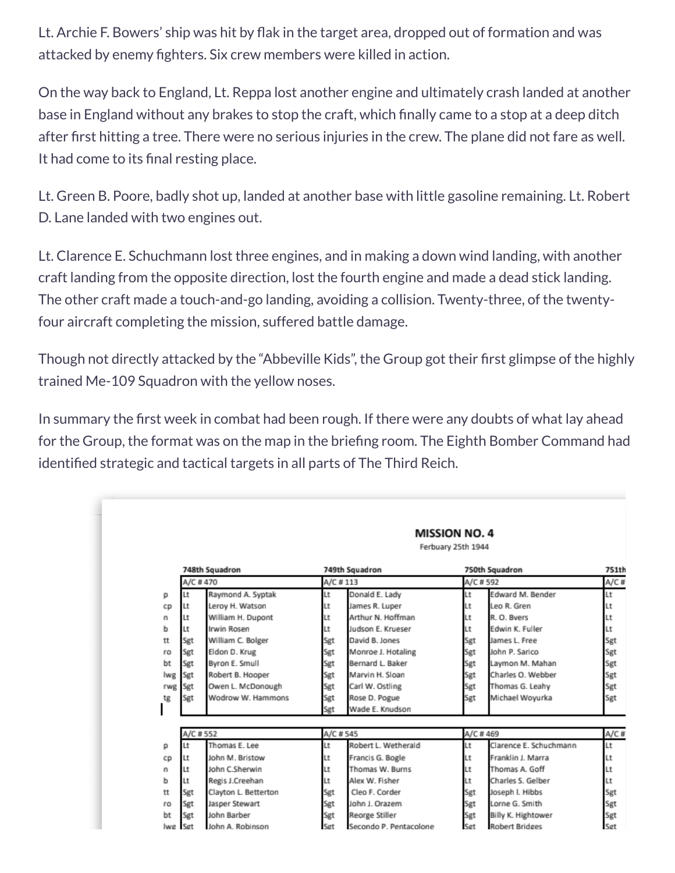Lt. Archie F. Bowers' ship was hit by flak in the target area, dropped out of formation and was attacked by enemy fighters. Six crew members were killed in action.

On the way back to England, Lt. Reppa lost another engine and ultimately crash landed at another base in England without any brakes to stop the craft, which finally came to a stop at a deep ditch after first hitting a tree. There were no serious injuries in the crew. The plane did not fare as well. It had come to its final resting place.

Lt. Green B. Poore, badly shot up, landed at another base with little gasoline remaining. Lt. Robert D. Lane landed with two engines out.

Lt. Clarence E. Schuchmann lost three engines, and in making a down wind landing, with another craft landing from the opposite direction, lost the fourth engine and made a dead stick landing. The other craft made a touch-and-go landing, avoiding a collision. Twenty-three, of the twentyfour aircraft completing the mission, suffered battle damage.

Though not directly attacked by the "Abbeville Kids", the Group got their first glimpse of the highly trained Me-109 Squadron with the yellow noses.

In summary the first week in combat had been rough. If there were any doubts of what lay ahead for the Group, the format was on the map in the briefing room. The Eighth Bomber Command had identified strategic and tactical targets in all parts of The Third Reich.

|     |          | <b>MISSION NO. 4</b><br>Ferbuary 25th 1944 |          |                     |          |                        |               |
|-----|----------|--------------------------------------------|----------|---------------------|----------|------------------------|---------------|
|     |          | 748th Squadron                             |          | 749th Squadron      |          | 750th Squadron         | 751th         |
|     | A/C #470 |                                            | A/C #113 |                     | A/C #592 |                        | A/C#          |
| р   | Lt       | Raymond A. Syptak                          | Lt       | Donald E. Lady      | Lt       | Edward M. Bender       | Lt            |
| CD  | Lt       | Leroy H. Watson                            | Lt       | James R. Luper      | Lt       | Leo R. Gren            | Lt            |
| n   | Lt       | William H. Dupont                          | Lt       | Arthur N. Hoffman   | Lt       | R.O. Ryers             | Lt            |
| ь   | Lt       | Irwin Rosen                                | Lt       | Judson E. Krueser   | Lt       | Edwin K. Fuller        | Lt            |
| tt  | Sgt      | William C. Bolger                          | Sgt      | David B. Jones      | Sgt      | James L. Free          | Sgt           |
| ro  | Sgt      | Eldon D. Krug                              | Sgt      | Monroe J. Hotaling  | Sgt      | John P. Sarico         | Sgt           |
| bt  | Sgt      | Byron E. Smull                             | Sgt      | Bernard L. Baker    | Sgt      | Laymon M. Mahan        | Sgt           |
| lwg | Sgt      | Robert B. Hooper                           | Sgt      | Marvin H. Sloan     | Sgt      | Charles O. Webber      | Sgt           |
| rwg | Sgt      | Owen L. McDonough                          | Sgt      | Carl W. Ostling     | Sgt      | Thomas G. Leahy        | Sgt           |
| tg  | Sgt      | Wodrow W. Hammons                          | Sgt      | Rose D. Pogue       | Sgt      | Michael Woyurka        | Sgt           |
|     |          |                                            | Sgt      | Wade E. Knudson     |          |                        |               |
|     | A/C #552 |                                            |          | A/C # 545           |          | A/C #469               |               |
| р   | Lt       | Thomas E. Lee                              | Lt       | Robert L. Wetherald | Lt       | Clarence E. Schuchmann | $A/C$ #<br>Lt |
| cp  | Lt       | John M. Bristow                            | Lt       | Francis G. Bogle    | Lt       | Franklin J. Marra      | Lt            |
| n   | Lt       | John C.Sherwin                             | Lt       | Thomas W. Burns     | Lt       | Thomas A. Goff         | Lt            |
| ь   | Lt       | Regis J.Creehan                            | Lt       | Alex W. Fisher      | Lt       | Charles S. Gelber      | Lt            |
| tt  | Sgt      | Clayton L. Betterton                       | Sgt      | Cleo F. Corder      | Sgt      | Joseph I. Hibbs        | Sgt           |
| ro  | Sgt      | Jasper Stewart                             | Sgt      | John J. Orazem      | Sgt      | Lorne G. Smith         | Sgt           |
|     |          |                                            |          |                     |          |                        |               |
| bt  | Sgt      | John Barber                                | Sgt      | Reorge Stiller      | Sgt      | Billy K. Hightower     | Sgt           |